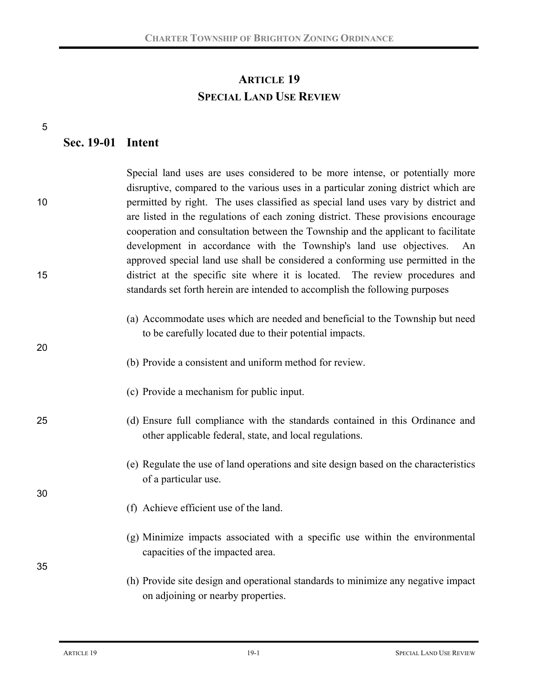## **ARTICLE 19 SPECIAL LAND USE REVIEW**

|    | Sec. 19-01 Intent |                                                                                                                                                                                                                                                                                                                                                                                                                                                                                                                                                                                                   |
|----|-------------------|---------------------------------------------------------------------------------------------------------------------------------------------------------------------------------------------------------------------------------------------------------------------------------------------------------------------------------------------------------------------------------------------------------------------------------------------------------------------------------------------------------------------------------------------------------------------------------------------------|
| 10 |                   | Special land uses are uses considered to be more intense, or potentially more<br>disruptive, compared to the various uses in a particular zoning district which are<br>permitted by right. The uses classified as special land uses vary by district and<br>are listed in the regulations of each zoning district. These provisions encourage<br>cooperation and consultation between the Township and the applicant to facilitate<br>development in accordance with the Township's land use objectives.<br>An<br>approved special land use shall be considered a conforming use permitted in the |
| 15 |                   | district at the specific site where it is located. The review procedures and<br>standards set forth herein are intended to accomplish the following purposes                                                                                                                                                                                                                                                                                                                                                                                                                                      |
| 20 |                   | (a) Accommodate uses which are needed and beneficial to the Township but need<br>to be carefully located due to their potential impacts.<br>(b) Provide a consistent and uniform method for review.                                                                                                                                                                                                                                                                                                                                                                                               |
|    |                   | (c) Provide a mechanism for public input.                                                                                                                                                                                                                                                                                                                                                                                                                                                                                                                                                         |
| 25 |                   | (d) Ensure full compliance with the standards contained in this Ordinance and<br>other applicable federal, state, and local regulations.                                                                                                                                                                                                                                                                                                                                                                                                                                                          |
| 30 |                   | (e) Regulate the use of land operations and site design based on the characteristics<br>of a particular use.                                                                                                                                                                                                                                                                                                                                                                                                                                                                                      |
|    |                   | (f) Achieve efficient use of the land.                                                                                                                                                                                                                                                                                                                                                                                                                                                                                                                                                            |
| 35 |                   | (g) Minimize impacts associated with a specific use within the environmental<br>capacities of the impacted area.                                                                                                                                                                                                                                                                                                                                                                                                                                                                                  |
|    |                   | (h) Provide site design and operational standards to minimize any negative impact<br>on adjoining or nearby properties.                                                                                                                                                                                                                                                                                                                                                                                                                                                                           |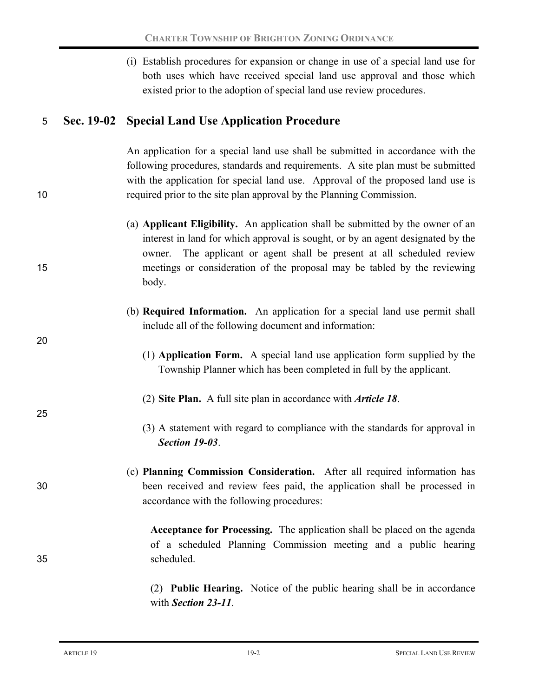|    | (i) Establish procedures for expansion or change in use of a special land use for<br>both uses which have received special land use approval and those which<br>existed prior to the adoption of special land use review procedures.                                                                                              |
|----|-----------------------------------------------------------------------------------------------------------------------------------------------------------------------------------------------------------------------------------------------------------------------------------------------------------------------------------|
| 5  | Sec. 19-02 Special Land Use Application Procedure                                                                                                                                                                                                                                                                                 |
| 10 | An application for a special land use shall be submitted in accordance with the<br>following procedures, standards and requirements. A site plan must be submitted<br>with the application for special land use. Approval of the proposed land use is<br>required prior to the site plan approval by the Planning Commission.     |
| 15 | (a) Applicant Eligibility. An application shall be submitted by the owner of an<br>interest in land for which approval is sought, or by an agent designated by the<br>owner. The applicant or agent shall be present at all scheduled review<br>meetings or consideration of the proposal may be tabled by the reviewing<br>body. |
| 20 | (b) Required Information. An application for a special land use permit shall<br>include all of the following document and information:                                                                                                                                                                                            |
|    | (1) <b>Application Form.</b> A special land use application form supplied by the<br>Township Planner which has been completed in full by the applicant.                                                                                                                                                                           |
| 25 | (2) Site Plan. A full site plan in accordance with <i>Article 18</i> .                                                                                                                                                                                                                                                            |
|    | (3) A statement with regard to compliance with the standards for approval in<br><b>Section 19-03.</b>                                                                                                                                                                                                                             |
| 30 | (c) Planning Commission Consideration. After all required information has<br>been received and review fees paid, the application shall be processed in<br>accordance with the following procedures:                                                                                                                               |
| 35 | Acceptance for Processing. The application shall be placed on the agenda<br>of a scheduled Planning Commission meeting and a public hearing<br>scheduled.                                                                                                                                                                         |
|    | (2) <b>Public Hearing.</b> Notice of the public hearing shall be in accordance                                                                                                                                                                                                                                                    |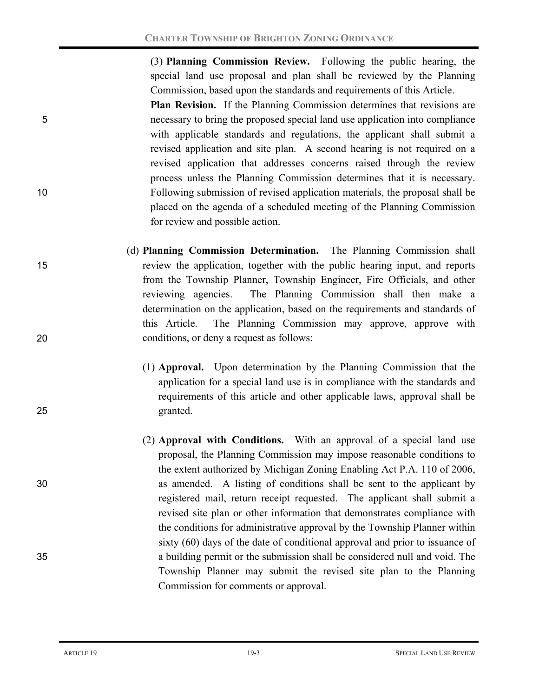(3) **Planning Commission Review.** Following the public hearing, the special land use proposal and plan shall be reviewed by the Planning Commission, based upon the standards and requirements of this Article.

**Plan Revision.** If the Planning Commission determines that revisions are 5 necessary to bring the proposed special land use application into compliance with applicable standards and regulations, the applicant shall submit a revised application and site plan. A second hearing is not required on a revised application that addresses concerns raised through the review process unless the Planning Commission determines that it is necessary. 10 Following submission of revised application materials, the proposal shall be placed on the agenda of a scheduled meeting of the Planning Commission for review and possible action.

- (d) **Planning Commission Determination.** The Planning Commission shall 15 review the application, together with the public hearing input, and reports from the Township Planner, Township Engineer, Fire Officials, and other reviewing agencies. The Planning Commission shall then make a determination on the application, based on the requirements and standards of this Article. The Planning Commission may approve, approve with 20 conditions, or deny a request as follows:
- (1) **Approval.** Upon determination by the Planning Commission that the application for a special land use is in compliance with the standards and requirements of this article and other applicable laws, approval shall be 25 granted.
- (2) **Approval with Conditions.** With an approval of a special land use proposal, the Planning Commission may impose reasonable conditions to the extent authorized by Michigan Zoning Enabling Act P.A. 110 of 2006, 30 as amended. A listing of conditions shall be sent to the applicant by registered mail, return receipt requested. The applicant shall submit a revised site plan or other information that demonstrates compliance with the conditions for administrative approval by the Township Planner within sixty (60) days of the date of conditional approval and prior to issuance of 35 a building permit or the submission shall be considered null and void. The Township Planner may submit the revised site plan to the Planning Commission for comments or approval.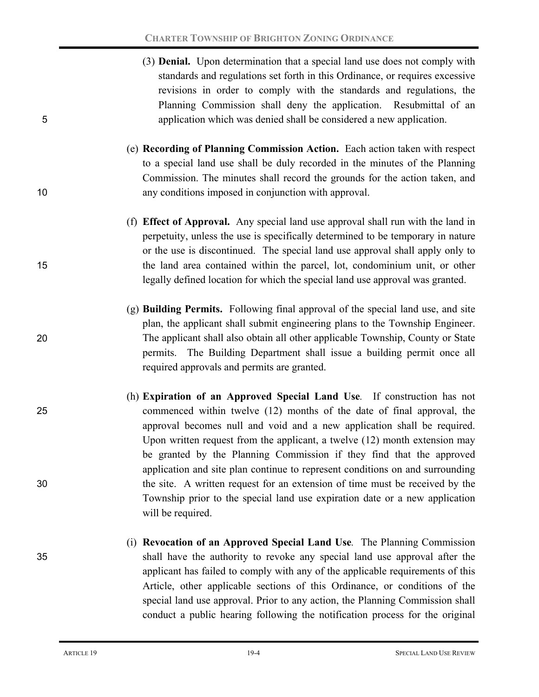- (3) **Denial.** Upon determination that a special land use does not comply with standards and regulations set forth in this Ordinance, or requires excessive revisions in order to comply with the standards and regulations, the Planning Commission shall deny the application. Resubmittal of an 5 application which was denied shall be considered a new application.
- (e) **Recording of Planning Commission Action.** Each action taken with respect to a special land use shall be duly recorded in the minutes of the Planning Commission. The minutes shall record the grounds for the action taken, and 10 any conditions imposed in conjunction with approval.
- (f) **Effect of Approval.** Any special land use approval shall run with the land in perpetuity, unless the use is specifically determined to be temporary in nature or the use is discontinued. The special land use approval shall apply only to 15 the land area contained within the parcel, lot, condominium unit, or other legally defined location for which the special land use approval was granted.
- (g) **Building Permits.** Following final approval of the special land use, and site plan, the applicant shall submit engineering plans to the Township Engineer. 20 The applicant shall also obtain all other applicable Township, County or State permits. The Building Department shall issue a building permit once all required approvals and permits are granted.
- (h) **Expiration of an Approved Special Land Use***.* If construction has not 25 commenced within twelve (12) months of the date of final approval, the approval becomes null and void and a new application shall be required. Upon written request from the applicant, a twelve (12) month extension may be granted by the Planning Commission if they find that the approved application and site plan continue to represent conditions on and surrounding 30 the site. A written request for an extension of time must be received by the Township prior to the special land use expiration date or a new application will be required.
- (i) **Revocation of an Approved Special Land Use***.* The Planning Commission 35 shall have the authority to revoke any special land use approval after the applicant has failed to comply with any of the applicable requirements of this Article, other applicable sections of this Ordinance, or conditions of the special land use approval. Prior to any action, the Planning Commission shall conduct a public hearing following the notification process for the original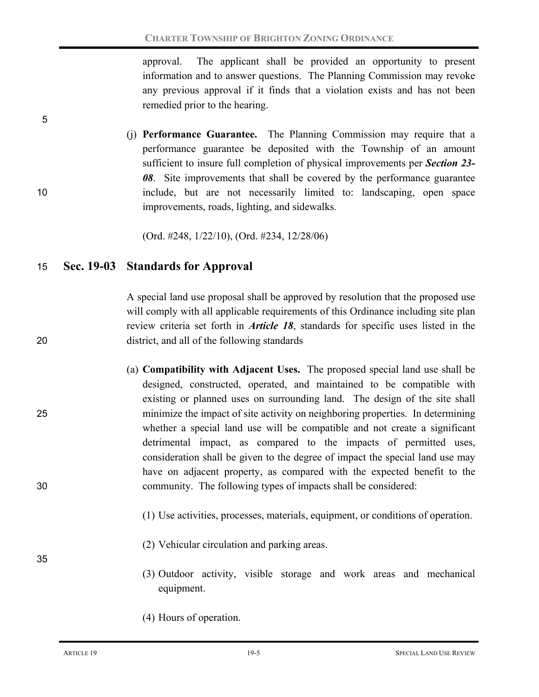approval. The applicant shall be provided an opportunity to present information and to answer questions. The Planning Commission may revoke any previous approval if it finds that a violation exists and has not been remedied prior to the hearing.

(j) **Performance Guarantee.** The Planning Commission may require that a performance guarantee be deposited with the Township of an amount sufficient to insure full completion of physical improvements per *Section 23- 08*. Site improvements that shall be covered by the performance guarantee 10 include, but are not necessarily limited to: landscaping, open space improvements, roads, lighting, and sidewalks.

(Ord. #248, 1/22/10), (Ord. #234, 12/28/06)

## 15 **Sec. 19-03 Standards for Approval**

5

A special land use proposal shall be approved by resolution that the proposed use will comply with all applicable requirements of this Ordinance including site plan review criteria set forth in *Article 18*, standards for specific uses listed in the 20 district, and all of the following standards

- (a) **Compatibility with Adjacent Uses.** The proposed special land use shall be designed, constructed, operated, and maintained to be compatible with existing or planned uses on surrounding land. The design of the site shall 25 minimize the impact of site activity on neighboring properties. In determining whether a special land use will be compatible and not create a significant detrimental impact, as compared to the impacts of permitted uses, consideration shall be given to the degree of impact the special land use may have on adjacent property, as compared with the expected benefit to the 30 community. The following types of impacts shall be considered:
	- (1) Use activities, processes, materials, equipment, or conditions of operation.
	- (2) Vehicular circulation and parking areas.
	- (3) Outdoor activity, visible storage and work areas and mechanical equipment.
	- (4) Hours of operation.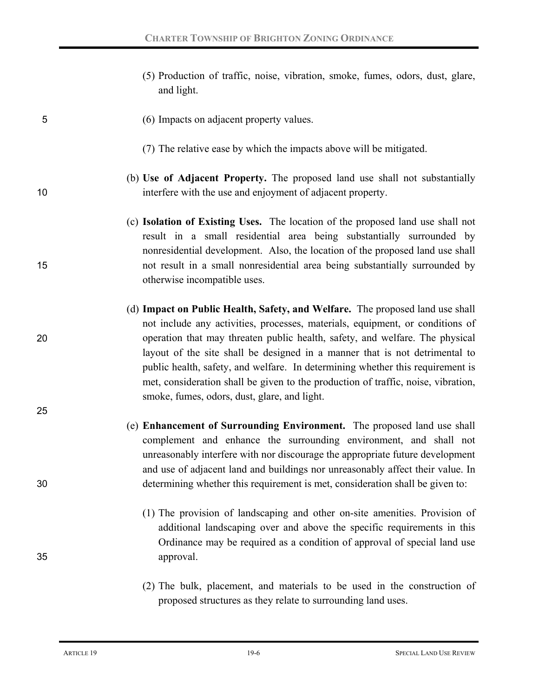(5) Production of traffic, noise, vibration, smoke, fumes, odors, dust, glare, and light.

## 5 (6) Impacts on adjacent property values.

- (7) The relative ease by which the impacts above will be mitigated.
- (b) **Use of Adjacent Property.** The proposed land use shall not substantially 10 interfere with the use and enjoyment of adjacent property.
- (c) **Isolation of Existing Uses.** The location of the proposed land use shall not result in a small residential area being substantially surrounded by nonresidential development. Also, the location of the proposed land use shall 15 not result in a small nonresidential area being substantially surrounded by otherwise incompatible uses.
- (d) **Impact on Public Health, Safety, and Welfare.** The proposed land use shall not include any activities, processes, materials, equipment, or conditions of 20 operation that may threaten public health, safety, and welfare. The physical layout of the site shall be designed in a manner that is not detrimental to public health, safety, and welfare. In determining whether this requirement is met, consideration shall be given to the production of traffic, noise, vibration, smoke, fumes, odors, dust, glare, and light.
- (e) **Enhancement of Surrounding Environment.** The proposed land use shall complement and enhance the surrounding environment, and shall not unreasonably interfere with nor discourage the appropriate future development and use of adjacent land and buildings nor unreasonably affect their value. In 30 determining whether this requirement is met, consideration shall be given to:
- (1) The provision of landscaping and other on-site amenities. Provision of additional landscaping over and above the specific requirements in this Ordinance may be required as a condition of approval of special land use 35 approval.
	- (2) The bulk, placement, and materials to be used in the construction of proposed structures as they relate to surrounding land uses.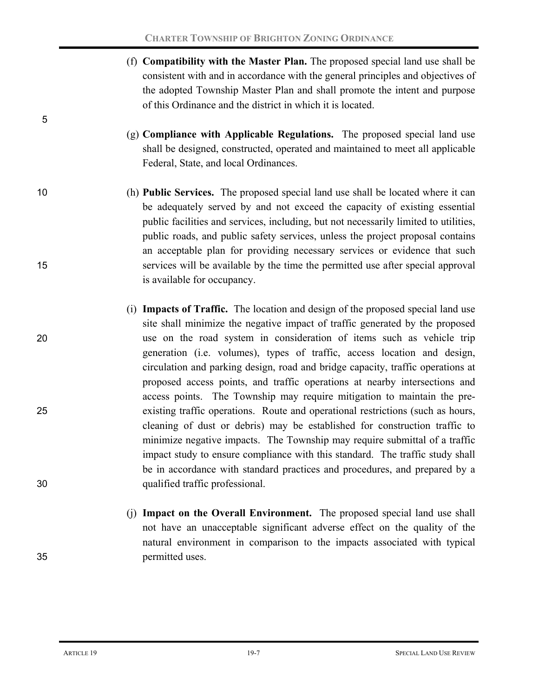- (f) **Compatibility with the Master Plan.** The proposed special land use shall be consistent with and in accordance with the general principles and objectives of the adopted Township Master Plan and shall promote the intent and purpose of this Ordinance and the district in which it is located.
- (g) **Compliance with Applicable Regulations.** The proposed special land use shall be designed, constructed, operated and maintained to meet all applicable Federal, State, and local Ordinances.
- 10 (h) **Public Services.** The proposed special land use shall be located where it can be adequately served by and not exceed the capacity of existing essential public facilities and services, including, but not necessarily limited to utilities, public roads, and public safety services, unless the project proposal contains an acceptable plan for providing necessary services or evidence that such 15 services will be available by the time the permitted use after special approval is available for occupancy.
- (i) **Impacts of Traffic.** The location and design of the proposed special land use site shall minimize the negative impact of traffic generated by the proposed 20 use on the road system in consideration of items such as vehicle trip generation (i.e. volumes), types of traffic, access location and design, circulation and parking design, road and bridge capacity, traffic operations at proposed access points, and traffic operations at nearby intersections and access points. The Township may require mitigation to maintain the pre-25 existing traffic operations. Route and operational restrictions (such as hours, cleaning of dust or debris) may be established for construction traffic to minimize negative impacts. The Township may require submittal of a traffic impact study to ensure compliance with this standard. The traffic study shall be in accordance with standard practices and procedures, and prepared by a 30 qualified traffic professional.
- (j) **Impact on the Overall Environment.** The proposed special land use shall not have an unacceptable significant adverse effect on the quality of the natural environment in comparison to the impacts associated with typical 35 permitted uses.